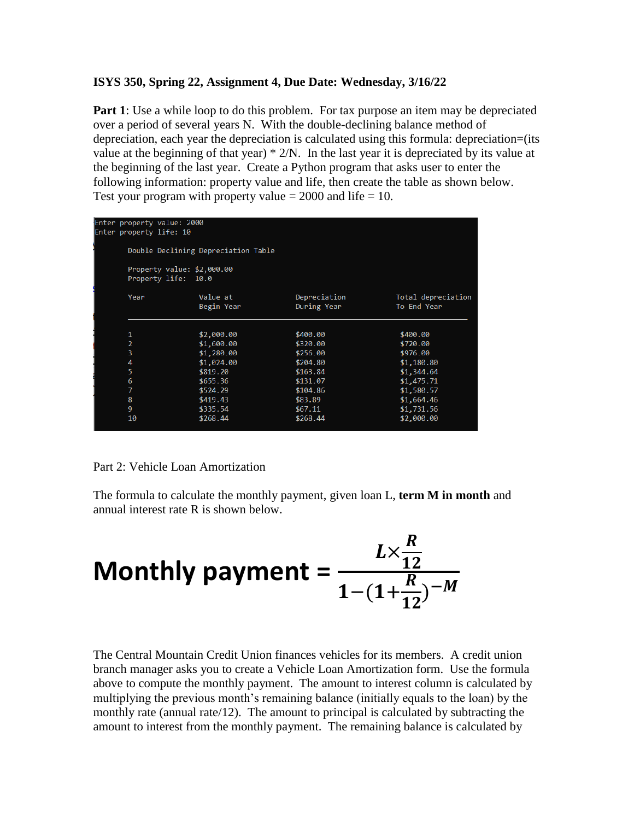## **ISYS 350, Spring 22, Assignment 4, Due Date: Wednesday, 3/16/22**

**Part 1**: Use a while loop to do this problem. For tax purpose an item may be depreciated over a period of several years N. With the double-declining balance method of depreciation, each year the depreciation is calculated using this formula: depreciation=(its value at the beginning of that year) \* 2/N. In the last year it is depreciated by its value at the beginning of the last year. Create a Python program that asks user to enter the following information: property value and life, then create the table as shown below. Test your program with property value  $= 2000$  and life  $= 10$ .

| Enter property value: 2000<br>Enter property life: 10 |                                                   |                             |                                   |
|-------------------------------------------------------|---------------------------------------------------|-----------------------------|-----------------------------------|
|                                                       | Double Declining Depreciation Table               |                             |                                   |
|                                                       | Property value: \$2,000.00<br>Property life: 10.0 |                             |                                   |
| Year                                                  | Value at<br>Begin Year                            | Depreciation<br>During Year | Total depreciation<br>To End Year |
| 1                                                     | \$2,000.00                                        | \$400.00                    | \$400.00                          |
| $\overline{2}$                                        | \$1,600.00                                        | \$320.00                    | \$720.00                          |
| 3                                                     | \$1,280.00                                        | \$256.00                    | \$976.00                          |
| 4                                                     | \$1,024.00                                        | \$204.80                    | \$1,180.80                        |
| 5                                                     | \$819.20                                          | \$163.84                    | \$1,344.64                        |
| 6                                                     | \$655.36                                          | \$131.07                    | \$1,475.71                        |
| 7                                                     | \$524.29                                          | \$104.86                    | \$1,580.57                        |
| 8                                                     | \$419.43                                          | \$83.89                     | \$1,664.46                        |
| 9                                                     | \$335.54                                          | \$67.11                     | \$1,731.56                        |
| 10                                                    | \$268.44                                          | \$268.44                    | \$2,000.00                        |

## Part 2: Vehicle Loan Amortization

The formula to calculate the monthly payment, given loan L, **term M in month** and annual interest rate R is shown below.

Monthly payment = 
$$
\frac{L \times \frac{R}{12}}{1 - (1 + \frac{R}{12})^{-M}}
$$

The Central Mountain Credit Union finances vehicles for its members. A credit union branch manager asks you to create a Vehicle Loan Amortization form. Use the formula above to compute the monthly payment. The amount to interest column is calculated by multiplying the previous month's remaining balance (initially equals to the loan) by the monthly rate (annual rate/12). The amount to principal is calculated by subtracting the amount to interest from the monthly payment. The remaining balance is calculated by